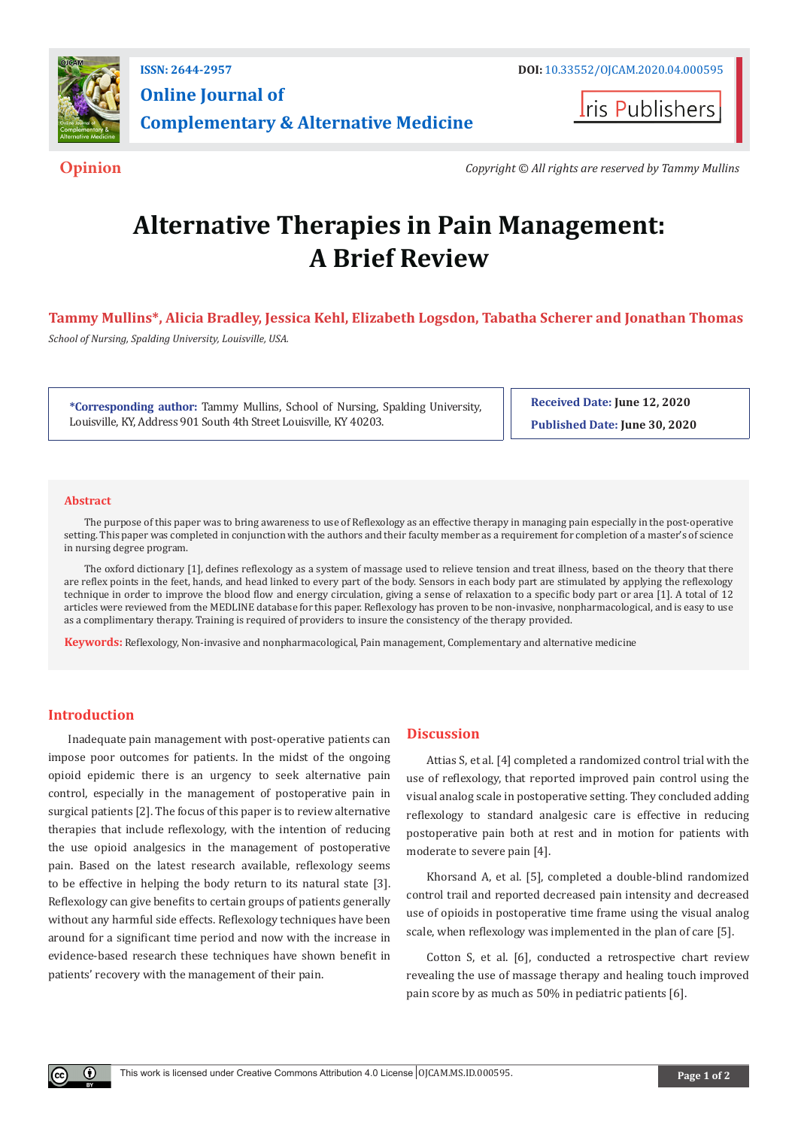

**Online Journal of Complementary & Alternative Medicine**

**Iris Publishers** 

**Opinion** *Copyright © All rights are reserved by Tammy Mullins*

# **Alternative Therapies in Pain Management: A Brief Review**

**Tammy Mullins\*, Alicia Bradley, Jessica Kehl, Elizabeth Logsdon, Tabatha Scherer and Jonathan Thomas**

*School of Nursing, Spalding University, Louisville, USA.*

**\*Corresponding author:** Tammy Mullins, School of Nursing, Spalding University, Louisville, KY, Address 901 South 4th Street Louisville, KY 40203.

**Received Date: June 12, 2020 Published Date: June 30, 2020**

#### **Abstract**

The purpose of this paper was to bring awareness to use of Reflexology as an effective therapy in managing pain especially in the post-operative setting. This paper was completed in conjunction with the authors and their faculty member as a requirement for completion of a master's of science in nursing degree program.

The oxford dictionary [1], defines reflexology as a system of massage used to relieve tension and treat illness, based on the theory that there are reflex points in the feet, hands, and head linked to every part of the body. Sensors in each body part are stimulated by applying the reflexology technique in order to improve the blood flow and energy circulation, giving a sense of relaxation to a specific body part or area [1]. A total of 12 articles were reviewed from the MEDLINE database for this paper. Reflexology has proven to be non-invasive, nonpharmacological, and is easy to use as a complimentary therapy. Training is required of providers to insure the consistency of the therapy provided.

**Keywords:** Reflexology, Non-invasive and nonpharmacological, Pain management, Complementary and alternative medicine

## **Introduction**

 $\bf{0}$ 

Inadequate pain management with post-operative patients can impose poor outcomes for patients. In the midst of the ongoing opioid epidemic there is an urgency to seek alternative pain control, especially in the management of postoperative pain in surgical patients [2]. The focus of this paper is to review alternative therapies that include reflexology, with the intention of reducing the use opioid analgesics in the management of postoperative pain. Based on the latest research available, reflexology seems to be effective in helping the body return to its natural state [3]. Reflexology can give benefits to certain groups of patients generally without any harmful side effects. Reflexology techniques have been around for a significant time period and now with the increase in evidence-based research these techniques have shown benefit in patients' recovery with the management of their pain.

### **Discussion**

Attias S, et al. [4] completed a randomized control trial with the use of reflexology, that reported improved pain control using the visual analog scale in postoperative setting. They concluded adding reflexology to standard analgesic care is effective in reducing postoperative pain both at rest and in motion for patients with moderate to severe pain [4].

Khorsand A, et al. [5], completed a double-blind randomized control trail and reported decreased pain intensity and decreased use of opioids in postoperative time frame using the visual analog scale, when reflexology was implemented in the plan of care [5].

Cotton S, et al. [6], conducted a retrospective chart review revealing the use of massage therapy and healing touch improved pain score by as much as 50% in pediatric patients [6].